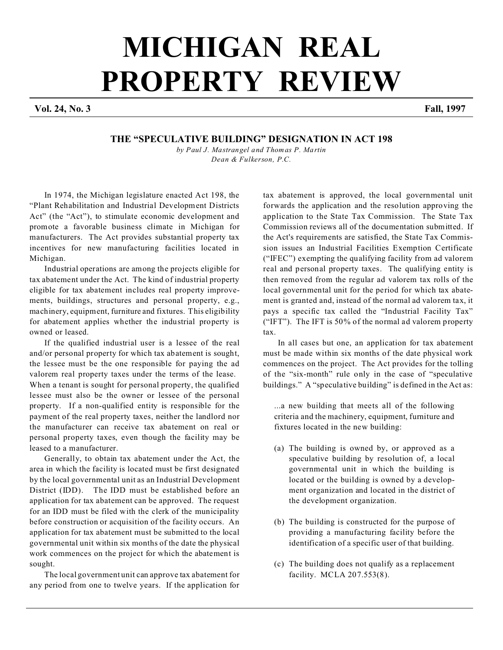## **MICHIGAN REAL PROPERTY REVIEW**

**Vol. 24, No. 3 Fall, 1997**

## **THE "SPECULATIVE BUILDING" DESIGNATION IN ACT 198**

*by Paul J. Mastrangel and Thomas P. Martin Dean & Fulkerson, P.C.*

In 1974, the Michigan legislature enacted Act 198, the "Plant Rehabilitation and Industrial Development Districts Act" (the "Act"), to stimulate economic development and promote a favorable business climate in Michigan for manufacturers. The Act provides substantial property tax incentives for new manufacturing facilities located in Michigan.

Industrial operations are among the projects eligible for tax abatement under the Act. The kind of industrial property eligible for tax abatement includes real property improvements, buildings, structures and personal property, e.g., machinery, equipment, furniture and fixtures. This eligibility for abatement applies whether the industrial property is owned or leased.

If the qualified industrial user is a lessee of the real and/or personal property for which tax abatement is sought, the lessee must be the one responsible for paying the ad valorem real property taxes under the terms of the lease.

When a tenant is sought for personal property, the qualified lessee must also be the owner or lessee of the personal property. If a non-qualified entity is responsible for the payment of the real property taxes, neither the landlord nor the manufacturer can receive tax abatement on real or personal property taxes, even though the facility may be leased to a manufacturer.

Generally, to obtain tax abatement under the Act, the area in which the facility is located must be first designated by the local governmental unit as an Industrial Development District (IDD). The IDD must be established before an application for tax abatement can be approved. The request for an IDD must be filed with the clerk of the municipality before construction or acquisition of the facility occurs. An application for tax abatement must be submitted to the local governmental unit within six months of the date the physical work commences on the project for which the abatement is sought.

The local government unit can approve tax abatement for any period from one to twelve years. If the application for

tax abatement is approved, the local governmental unit forwards the application and the resolution approving the application to the State Tax Commission. The State Tax Commission reviews all of the documentation submitted. If the Act's requirements are satisfied, the State Tax Commission issues an Industrial Facilities Exemption Certificate ("IFEC") exempting the qualifying facility from ad valorem real and personal property taxes. The qualifying entity is then removed from the regular ad valorem tax rolls of the local governmental unit for the period for which tax abatement is granted and, instead of the normal ad valorem tax, it pays a specific tax called the "Industrial Facility Tax" ("IFT"). The IFT is 50% of the normal ad valorem property tax.

In all cases but one, an application for tax abatement must be made within six months of the date physical work commences on the project. The Act provides for the tolling of the "six-month" rule only in the case of "speculative buildings." A "speculative building" is defined in the Act as:

...a new building that meets all of the following criteria and the machinery, equipment, furniture and fixtures located in the new building:

- (a) The building is owned by, or approved as a speculative building by resolution of, a local governmental unit in which the building is located or the building is owned by a development organization and located in the district of the development organization.
- (b) The building is constructed for the purpose of providing a manufacturing facility before the identification of a specific user of that building.
- (c) The building does not qualify as a replacement facility. MCLA 207.553(8).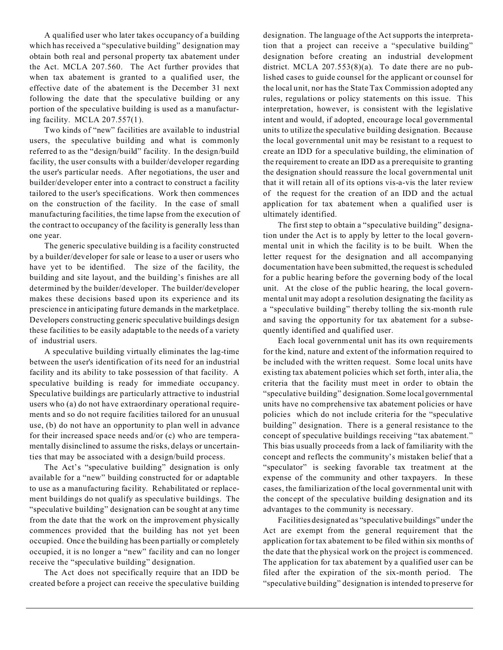A qualified user who later takes occupancy of a building which has received a "speculative building" designation may obtain both real and personal property tax abatement under the Act. MCLA 207.560. The Act further provides that when tax abatement is granted to a qualified user, the effective date of the abatement is the December 31 next following the date that the speculative building or any portion of the speculative building is used as a manufacturing facility. MCLA 207.557(1).

Two kinds of "new" facilities are available to industrial users, the speculative building and what is commonly referred to as the "design/build" facility. In the design/build facility, the user consults with a builder/developer regarding the user's particular needs. After negotiations, the user and builder/developer enter into a contract to construct a facility tailored to the user's specifications. Work then commences on the construction of the facility. In the case of small manufacturing facilities, the time lapse from the execution of the contract to occupancy of the facility is generally less than one year.

The generic speculative building is a facility constructed by a builder/developer for sale or lease to a user or users who have yet to be identified. The size of the facility, the building and site layout, and the building's finishes are all determined by the builder/developer. The builder/developer makes these decisions based upon its experience and its prescience in anticipating future demands in the marketplace. Developers constructing generic speculative buildings design these facilities to be easily adaptable to the needs of a variety of industrial users.

A speculative building virtually eliminates the lag-time between the user's identification of its need for an industrial facility and its ability to take possession of that facility. A speculative building is ready for immediate occupancy. Speculative buildings are particularly attractive to industrial users who (a) do not have extraordinary operational requirements and so do not require facilities tailored for an unusual use, (b) do not have an opportunity to plan well in advance for their increased space needs and/or (c) who are temperamentally disinclined to assume the risks, delays or uncertainties that may be associated with a design/build process.

The Act's "speculative building" designation is only available for a "new" building constructed for or adaptable to use as a manufacturing facility. Rehabilitated or replacement buildings do not qualify as speculative buildings. The "speculative building" designation can be sought at any time from the date that the work on the improvement physically commences provided that the building has not yet been occupied. Once the building has been partially or completely occupied, it is no longer a "new" facility and can no longer receive the "speculative building" designation.

The Act does not specifically require that an IDD be created before a project can receive the speculative building designation. The language of the Act supports the interpretation that a project can receive a "speculative building" designation before creating an industrial development district. MCLA  $207.553(8)(a)$ . To date there are no published cases to guide counsel for the applicant or counsel for the local unit, nor has the State Tax Commission adopted any rules, regulations or policy statements on this issue. This interpretation, however, is consistent with the legislative intent and would, if adopted, encourage local governmental units to utilize the speculative building designation. Because the local governmental unit may be resistant to a request to create an IDD for a speculative building, the elimination of the requirement to create an IDD as a prerequisite to granting the designation should reassure the local governmental unit that it will retain all of its options vis-a-vis the later review of the request for the creation of an IDD and the actual application for tax abatement when a qualified user is ultimately identified.

The first step to obtain a "speculative building" designation under the Act is to apply by letter to the local governmental unit in which the facility is to be built. When the letter request for the designation and all accompanying documentation have been submitted, the request is scheduled for a public hearing before the governing body of the local unit. At the close of the public hearing, the local governmental unit may adopt a resolution designating the facility as a "speculative building" thereby tolling the six-month rule and saving the opportunity for tax abatement for a subsequently identified and qualified user.

Each local governmental unit has its own requirements for the kind, nature and extent of the information required to be included with the written request. Some local units have existing tax abatement policies which set forth, inter alia, the criteria that the facility must meet in order to obtain the "speculative building" designation. Some local governmental units have no comprehensive tax abatement policies or have policies which do not include criteria for the "speculative building" designation. There is a general resistance to the concept of speculative buildings receiving "tax abatement." This bias usually proceeds from a lack of familiarity with the concept and reflects the community's mistaken belief that a "speculator" is seeking favorable tax treatment at the expense of the community and other taxpayers. In these cases, the familiarization of the local governmental unit with the concept of the speculative building designation and its advantages to the community is necessary.

Facilities designated as "speculative buildings" under the Act are exempt from the general requirement that the application for tax abatement to be filed within six months of the date that the physical work on the project is commenced. The application for tax abatement by a qualified user can be filed after the expiration of the six-month period. The "speculative building" designation is intended to preserve for